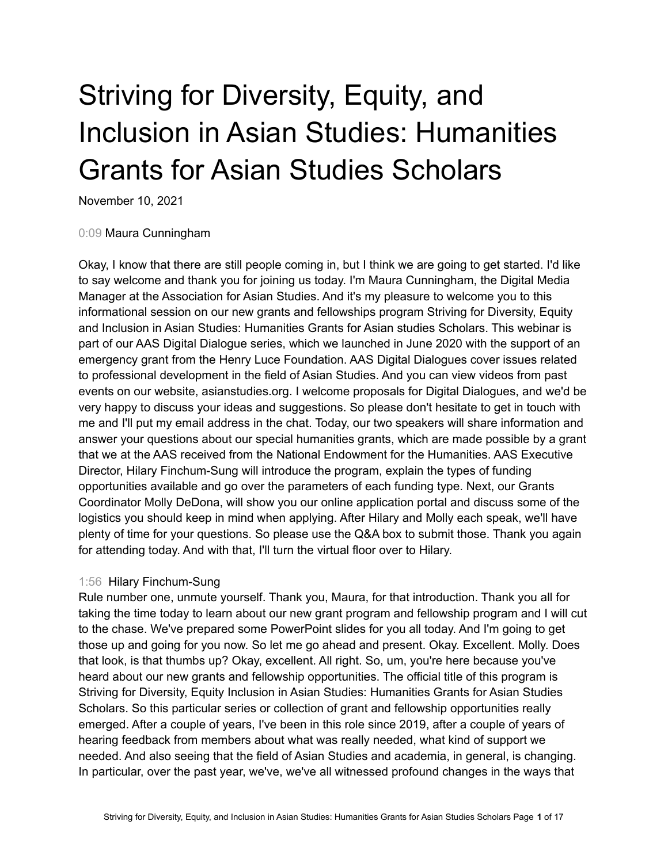# Striving for Diversity, Equity, and Inclusion in Asian Studies: Humanities Grants for Asian Studies Scholars

November 10, 2021

# 0:09 Maura Cunningham

Okay, I know that there are still people coming in, but I think we are going to get started. I'd like to say welcome and thank you for joining us today. I'm Maura Cunningham, the Digital Media Manager at the Association for Asian Studies. And it's my pleasure to welcome you to this informational session on our new grants and fellowships program Striving for Diversity, Equity and Inclusion in Asian Studies: Humanities Grants for Asian studies Scholars. This webinar is part of our AAS Digital Dialogue series, which we launched in June 2020 with the support of an emergency grant from the Henry Luce Foundation. AAS Digital Dialogues cover issues related to professional development in the field of Asian Studies. And you can view videos from past events on our website, asianstudies.org. I welcome proposals for Digital Dialogues, and we'd be very happy to discuss your ideas and suggestions. So please don't hesitate to get in touch with me and I'll put my email address in the chat. Today, our two speakers will share information and answer your questions about our special humanities grants, which are made possible by a grant that we at the AAS received from the National Endowment for the Humanities. AAS Executive Director, Hilary Finchum-Sung will introduce the program, explain the types of funding opportunities available and go over the parameters of each funding type. Next, our Grants Coordinator Molly DeDona, will show you our online application portal and discuss some of the logistics you should keep in mind when applying. After Hilary and Molly each speak, we'll have plenty of time for your questions. So please use the Q&A box to submit those. Thank you again for attending today. And with that, I'll turn the virtual floor over to Hilary.

# 1:56 Hilary Finchum-Sung

Rule number one, unmute yourself. Thank you, Maura, for that introduction. Thank you all for taking the time today to learn about our new grant program and fellowship program and I will cut to the chase. We've prepared some PowerPoint slides for you all today. And I'm going to get those up and going for you now. So let me go ahead and present. Okay. Excellent. Molly. Does that look, is that thumbs up? Okay, excellent. All right. So, um, you're here because you've heard about our new grants and fellowship opportunities. The official title of this program is Striving for Diversity, Equity Inclusion in Asian Studies: Humanities Grants for Asian Studies Scholars. So this particular series or collection of grant and fellowship opportunities really emerged. After a couple of years, I've been in this role since 2019, after a couple of years of hearing feedback from members about what was really needed, what kind of support we needed. And also seeing that the field of Asian Studies and academia, in general, is changing. In particular, over the past year, we've, we've all witnessed profound changes in the ways that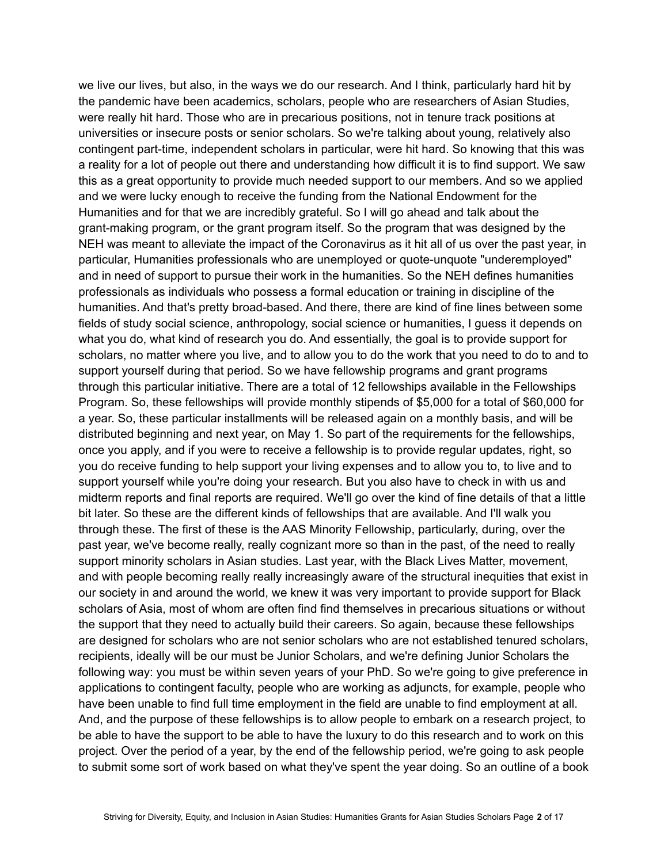we live our lives, but also, in the ways we do our research. And I think, particularly hard hit by the pandemic have been academics, scholars, people who are researchers of Asian Studies, were really hit hard. Those who are in precarious positions, not in tenure track positions at universities or insecure posts or senior scholars. So we're talking about young, relatively also contingent part-time, independent scholars in particular, were hit hard. So knowing that this was a reality for a lot of people out there and understanding how difficult it is to find support. We saw this as a great opportunity to provide much needed support to our members. And so we applied and we were lucky enough to receive the funding from the National Endowment for the Humanities and for that we are incredibly grateful. So I will go ahead and talk about the grant-making program, or the grant program itself. So the program that was designed by the NEH was meant to alleviate the impact of the Coronavirus as it hit all of us over the past year, in particular, Humanities professionals who are unemployed or quote-unquote "underemployed" and in need of support to pursue their work in the humanities. So the NEH defines humanities professionals as individuals who possess a formal education or training in discipline of the humanities. And that's pretty broad-based. And there, there are kind of fine lines between some fields of study social science, anthropology, social science or humanities, I guess it depends on what you do, what kind of research you do. And essentially, the goal is to provide support for scholars, no matter where you live, and to allow you to do the work that you need to do to and to support yourself during that period. So we have fellowship programs and grant programs through this particular initiative. There are a total of 12 fellowships available in the Fellowships Program. So, these fellowships will provide monthly stipends of \$5,000 for a total of \$60,000 for a year. So, these particular installments will be released again on a monthly basis, and will be distributed beginning and next year, on May 1. So part of the requirements for the fellowships, once you apply, and if you were to receive a fellowship is to provide regular updates, right, so you do receive funding to help support your living expenses and to allow you to, to live and to support yourself while you're doing your research. But you also have to check in with us and midterm reports and final reports are required. We'll go over the kind of fine details of that a little bit later. So these are the different kinds of fellowships that are available. And I'll walk you through these. The first of these is the AAS Minority Fellowship, particularly, during, over the past year, we've become really, really cognizant more so than in the past, of the need to really support minority scholars in Asian studies. Last year, with the Black Lives Matter, movement, and with people becoming really really increasingly aware of the structural inequities that exist in our society in and around the world, we knew it was very important to provide support for Black scholars of Asia, most of whom are often find find themselves in precarious situations or without the support that they need to actually build their careers. So again, because these fellowships are designed for scholars who are not senior scholars who are not established tenured scholars, recipients, ideally will be our must be Junior Scholars, and we're defining Junior Scholars the following way: you must be within seven years of your PhD. So we're going to give preference in applications to contingent faculty, people who are working as adjuncts, for example, people who have been unable to find full time employment in the field are unable to find employment at all. And, and the purpose of these fellowships is to allow people to embark on a research project, to be able to have the support to be able to have the luxury to do this research and to work on this project. Over the period of a year, by the end of the fellowship period, we're going to ask people to submit some sort of work based on what they've spent the year doing. So an outline of a book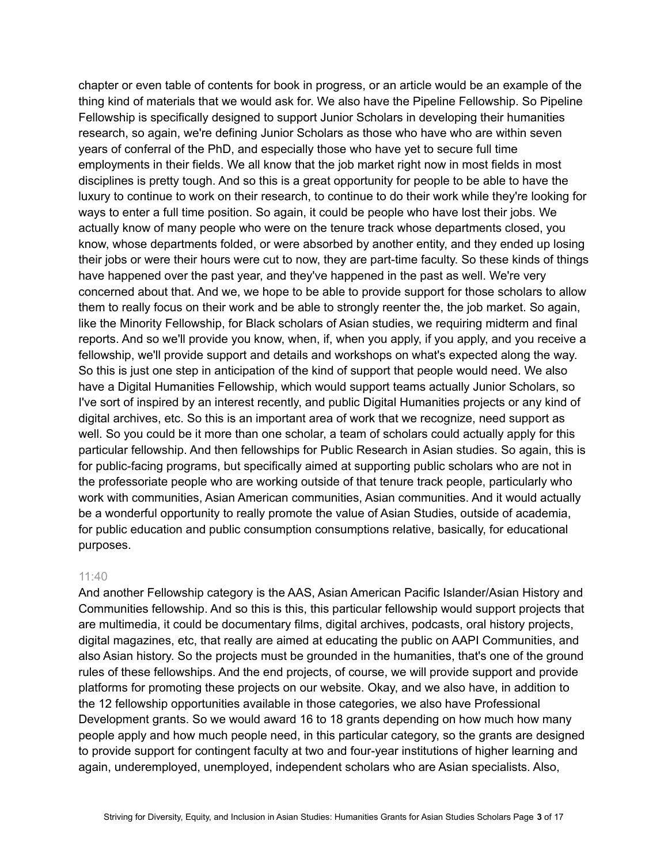chapter or even table of contents for book in progress, or an article would be an example of the thing kind of materials that we would ask for. We also have the Pipeline Fellowship. So Pipeline Fellowship is specifically designed to support Junior Scholars in developing their humanities research, so again, we're defining Junior Scholars as those who have who are within seven years of conferral of the PhD, and especially those who have yet to secure full time employments in their fields. We all know that the job market right now in most fields in most disciplines is pretty tough. And so this is a great opportunity for people to be able to have the luxury to continue to work on their research, to continue to do their work while they're looking for ways to enter a full time position. So again, it could be people who have lost their jobs. We actually know of many people who were on the tenure track whose departments closed, you know, whose departments folded, or were absorbed by another entity, and they ended up losing their jobs or were their hours were cut to now, they are part-time faculty. So these kinds of things have happened over the past year, and they've happened in the past as well. We're very concerned about that. And we, we hope to be able to provide support for those scholars to allow them to really focus on their work and be able to strongly reenter the, the job market. So again, like the Minority Fellowship, for Black scholars of Asian studies, we requiring midterm and final reports. And so we'll provide you know, when, if, when you apply, if you apply, and you receive a fellowship, we'll provide support and details and workshops on what's expected along the way. So this is just one step in anticipation of the kind of support that people would need. We also have a Digital Humanities Fellowship, which would support teams actually Junior Scholars, so I've sort of inspired by an interest recently, and public Digital Humanities projects or any kind of digital archives, etc. So this is an important area of work that we recognize, need support as well. So you could be it more than one scholar, a team of scholars could actually apply for this particular fellowship. And then fellowships for Public Research in Asian studies. So again, this is for public-facing programs, but specifically aimed at supporting public scholars who are not in the professoriate people who are working outside of that tenure track people, particularly who work with communities, Asian American communities, Asian communities. And it would actually be a wonderful opportunity to really promote the value of Asian Studies, outside of academia, for public education and public consumption consumptions relative, basically, for educational purposes.

#### 11:40

And another Fellowship category is the AAS, Asian American Pacific Islander/Asian History and Communities fellowship. And so this is this, this particular fellowship would support projects that are multimedia, it could be documentary films, digital archives, podcasts, oral history projects, digital magazines, etc, that really are aimed at educating the public on AAPI Communities, and also Asian history. So the projects must be grounded in the humanities, that's one of the ground rules of these fellowships. And the end projects, of course, we will provide support and provide platforms for promoting these projects on our website. Okay, and we also have, in addition to the 12 fellowship opportunities available in those categories, we also have Professional Development grants. So we would award 16 to 18 grants depending on how much how many people apply and how much people need, in this particular category, so the grants are designed to provide support for contingent faculty at two and four-year institutions of higher learning and again, underemployed, unemployed, independent scholars who are Asian specialists. Also,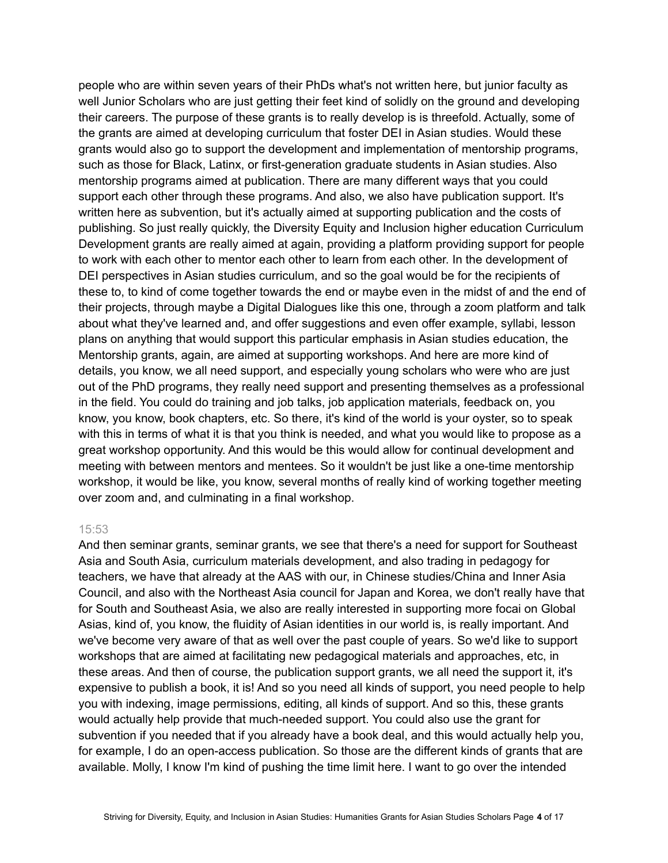people who are within seven years of their PhDs what's not written here, but junior faculty as well Junior Scholars who are just getting their feet kind of solidly on the ground and developing their careers. The purpose of these grants is to really develop is is threefold. Actually, some of the grants are aimed at developing curriculum that foster DEI in Asian studies. Would these grants would also go to support the development and implementation of mentorship programs, such as those for Black, Latinx, or first-generation graduate students in Asian studies. Also mentorship programs aimed at publication. There are many different ways that you could support each other through these programs. And also, we also have publication support. It's written here as subvention, but it's actually aimed at supporting publication and the costs of publishing. So just really quickly, the Diversity Equity and Inclusion higher education Curriculum Development grants are really aimed at again, providing a platform providing support for people to work with each other to mentor each other to learn from each other. In the development of DEI perspectives in Asian studies curriculum, and so the goal would be for the recipients of these to, to kind of come together towards the end or maybe even in the midst of and the end of their projects, through maybe a Digital Dialogues like this one, through a zoom platform and talk about what they've learned and, and offer suggestions and even offer example, syllabi, lesson plans on anything that would support this particular emphasis in Asian studies education, the Mentorship grants, again, are aimed at supporting workshops. And here are more kind of details, you know, we all need support, and especially young scholars who were who are just out of the PhD programs, they really need support and presenting themselves as a professional in the field. You could do training and job talks, job application materials, feedback on, you know, you know, book chapters, etc. So there, it's kind of the world is your oyster, so to speak with this in terms of what it is that you think is needed, and what you would like to propose as a great workshop opportunity. And this would be this would allow for continual development and meeting with between mentors and mentees. So it wouldn't be just like a one-time mentorship workshop, it would be like, you know, several months of really kind of working together meeting over zoom and, and culminating in a final workshop.

#### 15:53

And then seminar grants, seminar grants, we see that there's a need for support for Southeast Asia and South Asia, curriculum materials development, and also trading in pedagogy for teachers, we have that already at the AAS with our, in Chinese studies/China and Inner Asia Council, and also with the Northeast Asia council for Japan and Korea, we don't really have that for South and Southeast Asia, we also are really interested in supporting more focai on Global Asias, kind of, you know, the fluidity of Asian identities in our world is, is really important. And we've become very aware of that as well over the past couple of years. So we'd like to support workshops that are aimed at facilitating new pedagogical materials and approaches, etc, in these areas. And then of course, the publication support grants, we all need the support it, it's expensive to publish a book, it is! And so you need all kinds of support, you need people to help you with indexing, image permissions, editing, all kinds of support. And so this, these grants would actually help provide that much-needed support. You could also use the grant for subvention if you needed that if you already have a book deal, and this would actually help you, for example, I do an open-access publication. So those are the different kinds of grants that are available. Molly, I know I'm kind of pushing the time limit here. I want to go over the intended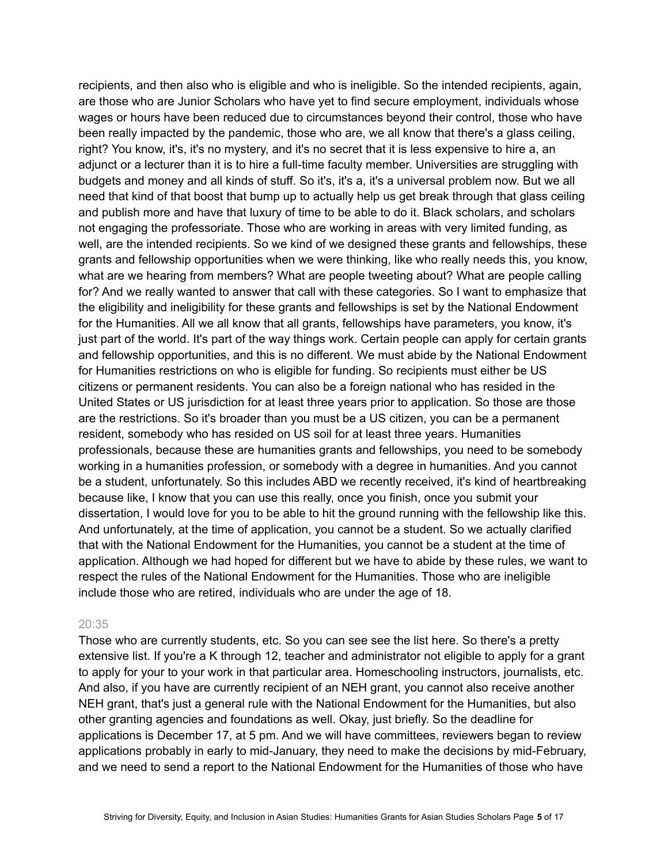recipients, and then also who is eligible and who is ineligible. So the intended recipients, again, are those who are Junior Scholars who have yet to find secure employment, individuals whose wages or hours have been reduced due to circumstances beyond their control, those who have been really impacted by the pandemic, those who are, we all know that there's a glass ceiling, right? You know, it's, it's no mystery, and it's no secret that it is less expensive to hire a, an adjunct or a lecturer than it is to hire a full-time faculty member. Universities are struggling with budgets and money and all kinds of stuff. So it's, it's a, it's a universal problem now. But we all need that kind of that boost that bump up to actually help us get break through that glass ceiling and publish more and have that luxury of time to be able to do it. Black scholars, and scholars not engaging the professoriate. Those who are working in areas with very limited funding, as well, are the intended recipients. So we kind of we designed these grants and fellowships, these grants and fellowship opportunities when we were thinking, like who really needs this, you know, what are we hearing from members? What are people tweeting about? What are people calling for? And we really wanted to answer that call with these categories. So I want to emphasize that the eligibility and ineligibility for these grants and fellowships is set by the National Endowment for the Humanities. All we all know that all grants, fellowships have parameters, you know, it's just part of the world. It's part of the way things work. Certain people can apply for certain grants and fellowship opportunities, and this is no different. We must abide by the National Endowment for Humanities restrictions on who is eligible for funding. So recipients must either be US citizens or permanent residents. You can also be a foreign national who has resided in the United States or US jurisdiction for at least three years prior to application. So those are those are the restrictions. So it's broader than you must be a US citizen, you can be a permanent resident, somebody who has resided on US soil for at least three years. Humanities professionals, because these are humanities grants and fellowships, you need to be somebody working in a humanities profession, or somebody with a degree in humanities. And you cannot be a student, unfortunately. So this includes ABD we recently received, it's kind of heartbreaking because like, I know that you can use this really, once you finish, once you submit your dissertation, I would love for you to be able to hit the ground running with the fellowship like this. And unfortunately, at the time of application, you cannot be a student. So we actually clarified that with the National Endowment for the Humanities, you cannot be a student at the time of application. Although we had hoped for different but we have to abide by these rules, we want to respect the rules of the National Endowment for the Humanities. Those who are ineligible include those who are retired, individuals who are under the age of 18.

#### 20:35

Those who are currently students, etc. So you can see see the list here. So there's a pretty extensive list. If you're a K through 12, teacher and administrator not eligible to apply for a grant to apply for your to your work in that particular area. Homeschooling instructors, journalists, etc. And also, if you have are currently recipient of an NEH grant, you cannot also receive another NEH grant, that's just a general rule with the National Endowment for the Humanities, but also other granting agencies and foundations as well. Okay, just briefly. So the deadline for applications is December 17, at 5 pm. And we will have committees, reviewers began to review applications probably in early to mid-January, they need to make the decisions by mid-February, and we need to send a report to the National Endowment for the Humanities of those who have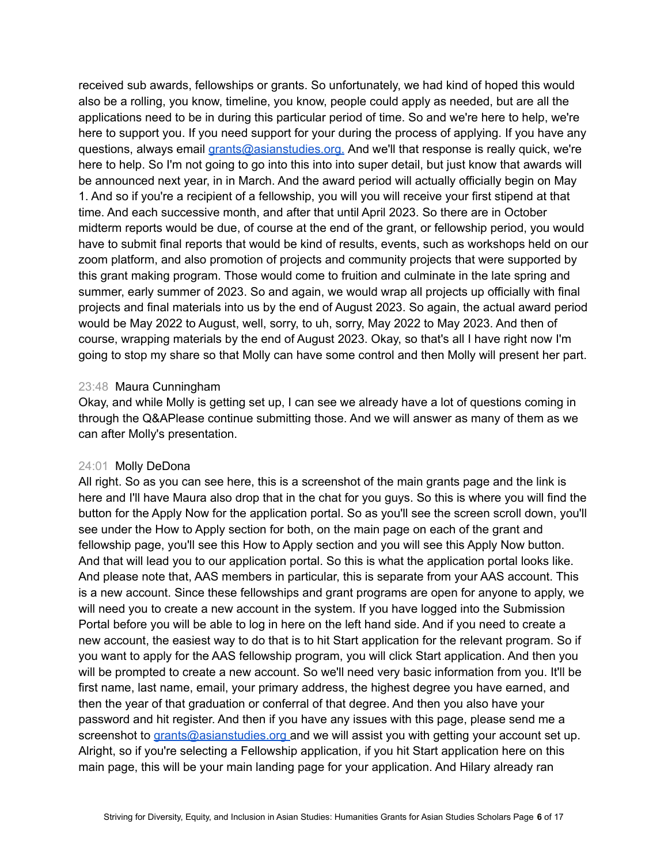received sub awards, fellowships or grants. So unfortunately, we had kind of hoped this would also be a rolling, you know, timeline, you know, people could apply as needed, but are all the applications need to be in during this particular period of time. So and we're here to help, we're here to support you. If you need support for your during the process of applying. If you have any questions, always email [grants@asianstudies.org.](mailto:grants@asianstudies.org) And we'll that response is really quick, we're here to help. So I'm not going to go into this into into super detail, but just know that awards will be announced next year, in in March. And the award period will actually officially begin on May 1. And so if you're a recipient of a fellowship, you will you will receive your first stipend at that time. And each successive month, and after that until April 2023. So there are in October midterm reports would be due, of course at the end of the grant, or fellowship period, you would have to submit final reports that would be kind of results, events, such as workshops held on our zoom platform, and also promotion of projects and community projects that were supported by this grant making program. Those would come to fruition and culminate in the late spring and summer, early summer of 2023. So and again, we would wrap all projects up officially with final projects and final materials into us by the end of August 2023. So again, the actual award period would be May 2022 to August, well, sorry, to uh, sorry, May 2022 to May 2023. And then of course, wrapping materials by the end of August 2023. Okay, so that's all I have right now I'm going to stop my share so that Molly can have some control and then Molly will present her part.

# 23:48 Maura Cunningham

Okay, and while Molly is getting set up, I can see we already have a lot of questions coming in through the Q&APlease continue submitting those. And we will answer as many of them as we can after Molly's presentation.

### 24:01 Molly DeDona

All right. So as you can see here, this is a screenshot of the main grants page and the link is here and I'll have Maura also drop that in the chat for you guys. So this is where you will find the button for the Apply Now for the application portal. So as you'll see the screen scroll down, you'll see under the How to Apply section for both, on the main page on each of the grant and fellowship page, you'll see this How to Apply section and you will see this Apply Now button. And that will lead you to our application portal. So this is what the application portal looks like. And please note that, AAS members in particular, this is separate from your AAS account. This is a new account. Since these fellowships and grant programs are open for anyone to apply, we will need you to create a new account in the system. If you have logged into the Submission Portal before you will be able to log in here on the left hand side. And if you need to create a new account, the easiest way to do that is to hit Start application for the relevant program. So if you want to apply for the AAS fellowship program, you will click Start application. And then you will be prompted to create a new account. So we'll need very basic information from you. It'll be first name, last name, email, your primary address, the highest degree you have earned, and then the year of that graduation or conferral of that degree. And then you also have your password and hit register. And then if you have any issues with this page, please send me a screenshot to [grants@asianstudies.org](mailto:grants@asianstudies.org) and we will assist you with getting your account set up. Alright, so if you're selecting a Fellowship application, if you hit Start application here on this main page, this will be your main landing page for your application. And Hilary already ran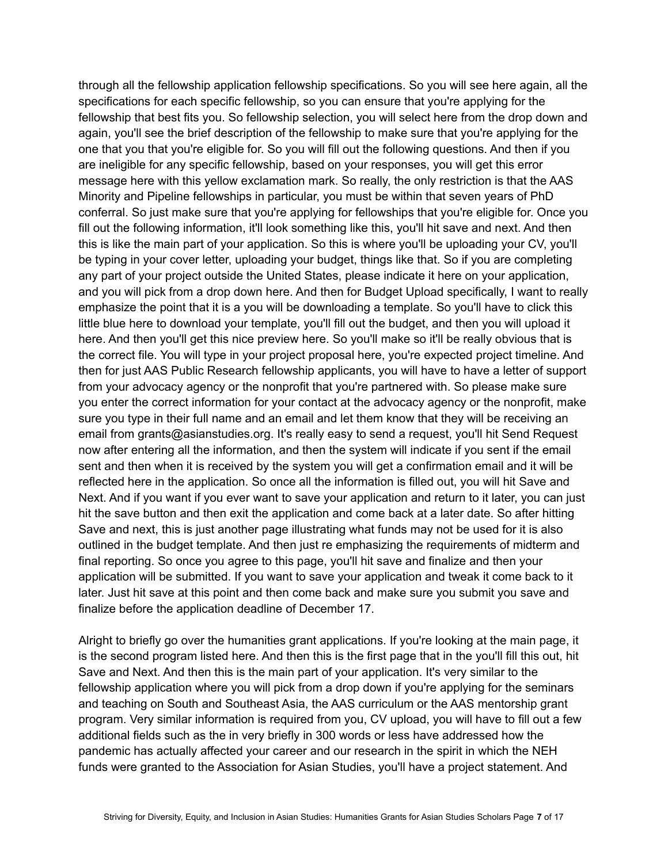through all the fellowship application fellowship specifications. So you will see here again, all the specifications for each specific fellowship, so you can ensure that you're applying for the fellowship that best fits you. So fellowship selection, you will select here from the drop down and again, you'll see the brief description of the fellowship to make sure that you're applying for the one that you that you're eligible for. So you will fill out the following questions. And then if you are ineligible for any specific fellowship, based on your responses, you will get this error message here with this yellow exclamation mark. So really, the only restriction is that the AAS Minority and Pipeline fellowships in particular, you must be within that seven years of PhD conferral. So just make sure that you're applying for fellowships that you're eligible for. Once you fill out the following information, it'll look something like this, you'll hit save and next. And then this is like the main part of your application. So this is where you'll be uploading your CV, you'll be typing in your cover letter, uploading your budget, things like that. So if you are completing any part of your project outside the United States, please indicate it here on your application, and you will pick from a drop down here. And then for Budget Upload specifically, I want to really emphasize the point that it is a you will be downloading a template. So you'll have to click this little blue here to download your template, you'll fill out the budget, and then you will upload it here. And then you'll get this nice preview here. So you'll make so it'll be really obvious that is the correct file. You will type in your project proposal here, you're expected project timeline. And then for just AAS Public Research fellowship applicants, you will have to have a letter of support from your advocacy agency or the nonprofit that you're partnered with. So please make sure you enter the correct information for your contact at the advocacy agency or the nonprofit, make sure you type in their full name and an email and let them know that they will be receiving an email from grants@asianstudies.org. It's really easy to send a request, you'll hit Send Request now after entering all the information, and then the system will indicate if you sent if the email sent and then when it is received by the system you will get a confirmation email and it will be reflected here in the application. So once all the information is filled out, you will hit Save and Next. And if you want if you ever want to save your application and return to it later, you can just hit the save button and then exit the application and come back at a later date. So after hitting Save and next, this is just another page illustrating what funds may not be used for it is also outlined in the budget template. And then just re emphasizing the requirements of midterm and final reporting. So once you agree to this page, you'll hit save and finalize and then your application will be submitted. If you want to save your application and tweak it come back to it later. Just hit save at this point and then come back and make sure you submit you save and finalize before the application deadline of December 17.

Alright to briefly go over the humanities grant applications. If you're looking at the main page, it is the second program listed here. And then this is the first page that in the you'll fill this out, hit Save and Next. And then this is the main part of your application. It's very similar to the fellowship application where you will pick from a drop down if you're applying for the seminars and teaching on South and Southeast Asia, the AAS curriculum or the AAS mentorship grant program. Very similar information is required from you, CV upload, you will have to fill out a few additional fields such as the in very briefly in 300 words or less have addressed how the pandemic has actually affected your career and our research in the spirit in which the NEH funds were granted to the Association for Asian Studies, you'll have a project statement. And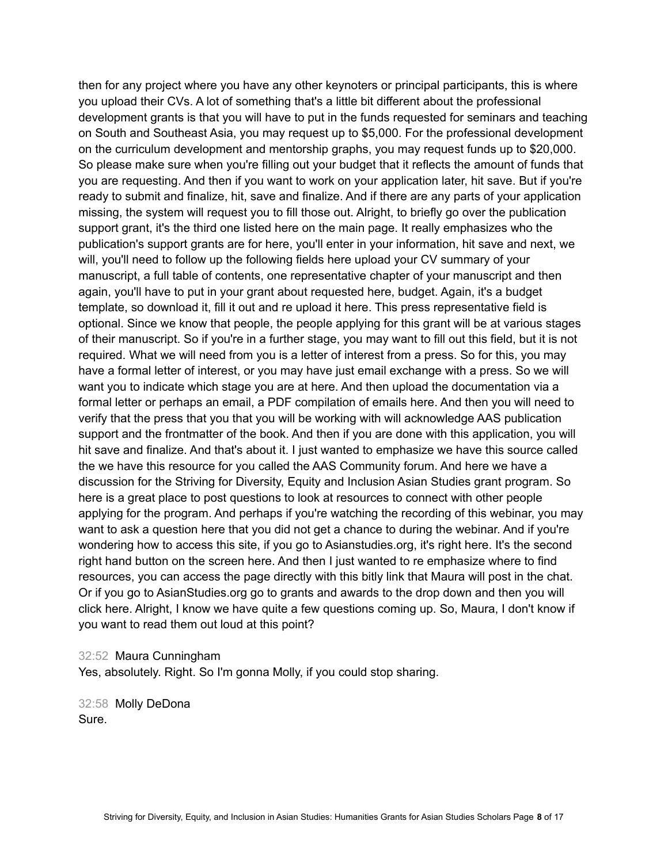then for any project where you have any other keynoters or principal participants, this is where you upload their CVs. A lot of something that's a little bit different about the professional development grants is that you will have to put in the funds requested for seminars and teaching on South and Southeast Asia, you may request up to \$5,000. For the professional development on the curriculum development and mentorship graphs, you may request funds up to \$20,000. So please make sure when you're filling out your budget that it reflects the amount of funds that you are requesting. And then if you want to work on your application later, hit save. But if you're ready to submit and finalize, hit, save and finalize. And if there are any parts of your application missing, the system will request you to fill those out. Alright, to briefly go over the publication support grant, it's the third one listed here on the main page. It really emphasizes who the publication's support grants are for here, you'll enter in your information, hit save and next, we will, you'll need to follow up the following fields here upload your CV summary of your manuscript, a full table of contents, one representative chapter of your manuscript and then again, you'll have to put in your grant about requested here, budget. Again, it's a budget template, so download it, fill it out and re upload it here. This press representative field is optional. Since we know that people, the people applying for this grant will be at various stages of their manuscript. So if you're in a further stage, you may want to fill out this field, but it is not required. What we will need from you is a letter of interest from a press. So for this, you may have a formal letter of interest, or you may have just email exchange with a press. So we will want you to indicate which stage you are at here. And then upload the documentation via a formal letter or perhaps an email, a PDF compilation of emails here. And then you will need to verify that the press that you that you will be working with will acknowledge AAS publication support and the frontmatter of the book. And then if you are done with this application, you will hit save and finalize. And that's about it. I just wanted to emphasize we have this source called the we have this resource for you called the AAS Community forum. And here we have a discussion for the Striving for Diversity, Equity and Inclusion Asian Studies grant program. So here is a great place to post questions to look at resources to connect with other people applying for the program. And perhaps if you're watching the recording of this webinar, you may want to ask a question here that you did not get a chance to during the webinar. And if you're wondering how to access this site, if you go to Asianstudies.org, it's right here. It's the second right hand button on the screen here. And then I just wanted to re emphasize where to find resources, you can access the page directly with this bitly link that Maura will post in the chat. Or if you go to AsianStudies.org go to grants and awards to the drop down and then you will click here. Alright, I know we have quite a few questions coming up. So, Maura, I don't know if you want to read them out loud at this point?

32:52 Maura Cunningham

Yes, absolutely. Right. So I'm gonna Molly, if you could stop sharing.

32:58 Molly DeDona Sure.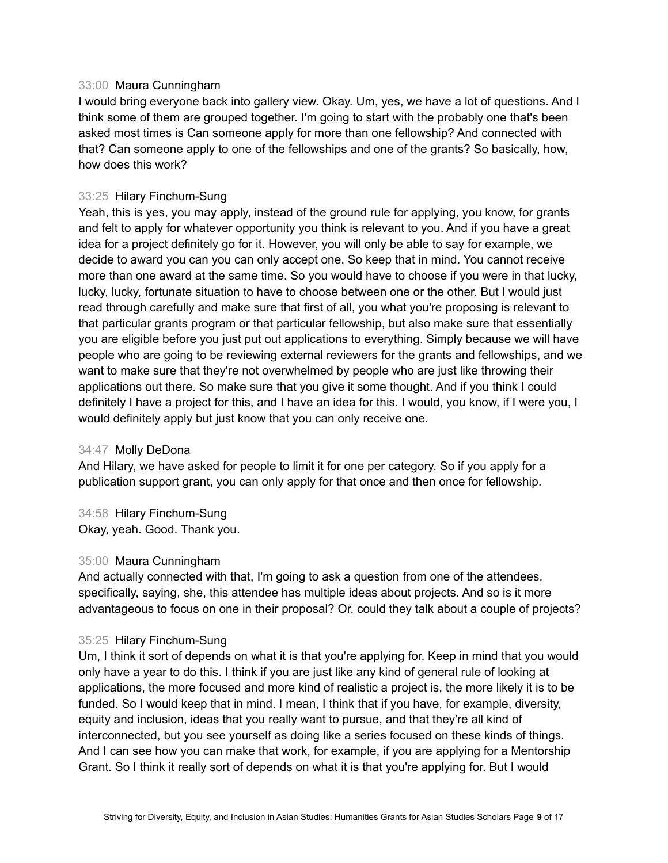## 33:00 Maura Cunningham

I would bring everyone back into gallery view. Okay. Um, yes, we have a lot of questions. And I think some of them are grouped together. I'm going to start with the probably one that's been asked most times is Can someone apply for more than one fellowship? And connected with that? Can someone apply to one of the fellowships and one of the grants? So basically, how, how does this work?

# 33:25 Hilary Finchum-Sung

Yeah, this is yes, you may apply, instead of the ground rule for applying, you know, for grants and felt to apply for whatever opportunity you think is relevant to you. And if you have a great idea for a project definitely go for it. However, you will only be able to say for example, we decide to award you can you can only accept one. So keep that in mind. You cannot receive more than one award at the same time. So you would have to choose if you were in that lucky, lucky, lucky, fortunate situation to have to choose between one or the other. But I would just read through carefully and make sure that first of all, you what you're proposing is relevant to that particular grants program or that particular fellowship, but also make sure that essentially you are eligible before you just put out applications to everything. Simply because we will have people who are going to be reviewing external reviewers for the grants and fellowships, and we want to make sure that they're not overwhelmed by people who are just like throwing their applications out there. So make sure that you give it some thought. And if you think I could definitely I have a project for this, and I have an idea for this. I would, you know, if I were you, I would definitely apply but just know that you can only receive one.

### 34:47 Molly DeDona

And Hilary, we have asked for people to limit it for one per category. So if you apply for a publication support grant, you can only apply for that once and then once for fellowship.

34:58 Hilary Finchum-Sung Okay, yeah. Good. Thank you.

### 35:00 Maura Cunningham

And actually connected with that, I'm going to ask a question from one of the attendees, specifically, saying, she, this attendee has multiple ideas about projects. And so is it more advantageous to focus on one in their proposal? Or, could they talk about a couple of projects?

### 35:25 Hilary Finchum-Sung

Um, I think it sort of depends on what it is that you're applying for. Keep in mind that you would only have a year to do this. I think if you are just like any kind of general rule of looking at applications, the more focused and more kind of realistic a project is, the more likely it is to be funded. So I would keep that in mind. I mean, I think that if you have, for example, diversity, equity and inclusion, ideas that you really want to pursue, and that they're all kind of interconnected, but you see yourself as doing like a series focused on these kinds of things. And I can see how you can make that work, for example, if you are applying for a Mentorship Grant. So I think it really sort of depends on what it is that you're applying for. But I would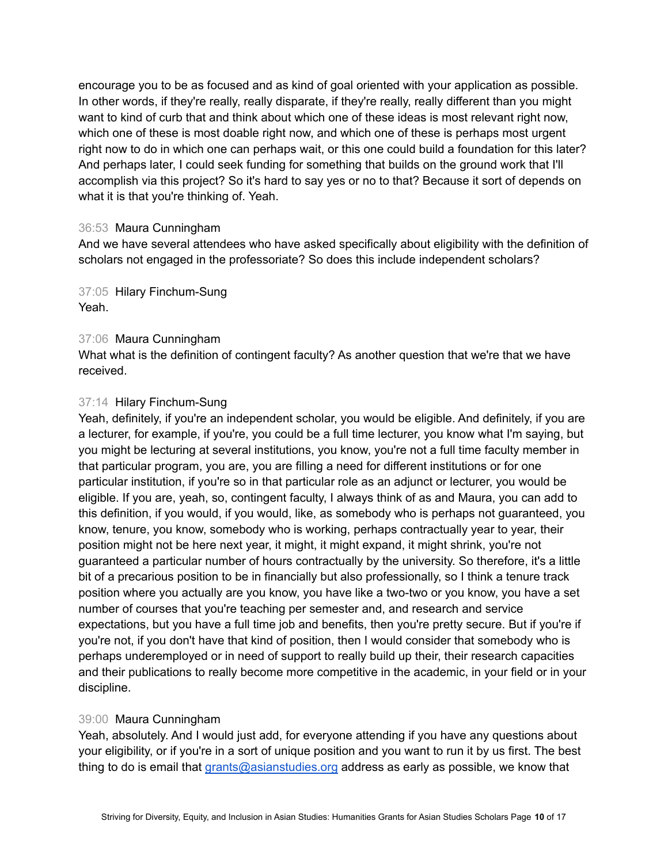encourage you to be as focused and as kind of goal oriented with your application as possible. In other words, if they're really, really disparate, if they're really, really different than you might want to kind of curb that and think about which one of these ideas is most relevant right now, which one of these is most doable right now, and which one of these is perhaps most urgent right now to do in which one can perhaps wait, or this one could build a foundation for this later? And perhaps later, I could seek funding for something that builds on the ground work that I'll accomplish via this project? So it's hard to say yes or no to that? Because it sort of depends on what it is that you're thinking of. Yeah.

# 36:53 Maura Cunningham

And we have several attendees who have asked specifically about eligibility with the definition of scholars not engaged in the professoriate? So does this include independent scholars?

37:05 Hilary Finchum-Sung Yeah.

# 37:06 Maura Cunningham

What what is the definition of contingent faculty? As another question that we're that we have received.

# 37:14 Hilary Finchum-Sung

Yeah, definitely, if you're an independent scholar, you would be eligible. And definitely, if you are a lecturer, for example, if you're, you could be a full time lecturer, you know what I'm saying, but you might be lecturing at several institutions, you know, you're not a full time faculty member in that particular program, you are, you are filling a need for different institutions or for one particular institution, if you're so in that particular role as an adjunct or lecturer, you would be eligible. If you are, yeah, so, contingent faculty, I always think of as and Maura, you can add to this definition, if you would, if you would, like, as somebody who is perhaps not guaranteed, you know, tenure, you know, somebody who is working, perhaps contractually year to year, their position might not be here next year, it might, it might expand, it might shrink, you're not guaranteed a particular number of hours contractually by the university. So therefore, it's a little bit of a precarious position to be in financially but also professionally, so I think a tenure track position where you actually are you know, you have like a two-two or you know, you have a set number of courses that you're teaching per semester and, and research and service expectations, but you have a full time job and benefits, then you're pretty secure. But if you're if you're not, if you don't have that kind of position, then I would consider that somebody who is perhaps underemployed or in need of support to really build up their, their research capacities and their publications to really become more competitive in the academic, in your field or in your discipline.

# 39:00 Maura Cunningham

Yeah, absolutely. And I would just add, for everyone attending if you have any questions about your eligibility, or if you're in a sort of unique position and you want to run it by us first. The best thing to do is email that [grants@asianstudies.org](mailto:grants@asianstudies.org) address as early as possible, we know that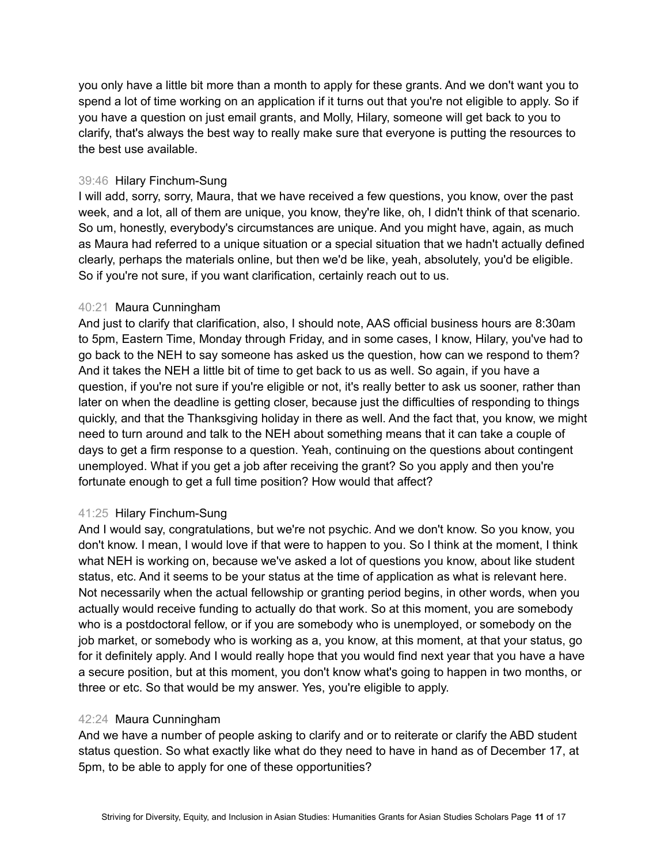you only have a little bit more than a month to apply for these grants. And we don't want you to spend a lot of time working on an application if it turns out that you're not eligible to apply. So if you have a question on just email grants, and Molly, Hilary, someone will get back to you to clarify, that's always the best way to really make sure that everyone is putting the resources to the best use available.

# 39:46 Hilary Finchum-Sung

I will add, sorry, sorry, Maura, that we have received a few questions, you know, over the past week, and a lot, all of them are unique, you know, they're like, oh, I didn't think of that scenario. So um, honestly, everybody's circumstances are unique. And you might have, again, as much as Maura had referred to a unique situation or a special situation that we hadn't actually defined clearly, perhaps the materials online, but then we'd be like, yeah, absolutely, you'd be eligible. So if you're not sure, if you want clarification, certainly reach out to us.

# 40:21 Maura Cunningham

And just to clarify that clarification, also, I should note, AAS official business hours are 8:30am to 5pm, Eastern Time, Monday through Friday, and in some cases, I know, Hilary, you've had to go back to the NEH to say someone has asked us the question, how can we respond to them? And it takes the NEH a little bit of time to get back to us as well. So again, if you have a question, if you're not sure if you're eligible or not, it's really better to ask us sooner, rather than later on when the deadline is getting closer, because just the difficulties of responding to things quickly, and that the Thanksgiving holiday in there as well. And the fact that, you know, we might need to turn around and talk to the NEH about something means that it can take a couple of days to get a firm response to a question. Yeah, continuing on the questions about contingent unemployed. What if you get a job after receiving the grant? So you apply and then you're fortunate enough to get a full time position? How would that affect?

# 41:25 Hilary Finchum-Sung

And I would say, congratulations, but we're not psychic. And we don't know. So you know, you don't know. I mean, I would love if that were to happen to you. So I think at the moment, I think what NEH is working on, because we've asked a lot of questions you know, about like student status, etc. And it seems to be your status at the time of application as what is relevant here. Not necessarily when the actual fellowship or granting period begins, in other words, when you actually would receive funding to actually do that work. So at this moment, you are somebody who is a postdoctoral fellow, or if you are somebody who is unemployed, or somebody on the job market, or somebody who is working as a, you know, at this moment, at that your status, go for it definitely apply. And I would really hope that you would find next year that you have a have a secure position, but at this moment, you don't know what's going to happen in two months, or three or etc. So that would be my answer. Yes, you're eligible to apply.

# 42:24 Maura Cunningham

And we have a number of people asking to clarify and or to reiterate or clarify the ABD student status question. So what exactly like what do they need to have in hand as of December 17, at 5pm, to be able to apply for one of these opportunities?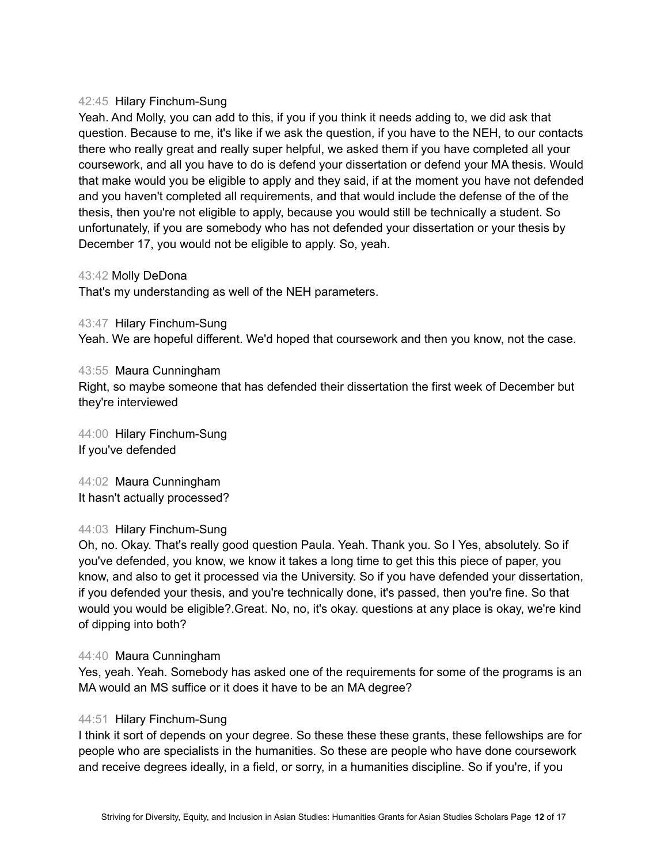## 42:45 Hilary Finchum-Sung

Yeah. And Molly, you can add to this, if you if you think it needs adding to, we did ask that question. Because to me, it's like if we ask the question, if you have to the NEH, to our contacts there who really great and really super helpful, we asked them if you have completed all your coursework, and all you have to do is defend your dissertation or defend your MA thesis. Would that make would you be eligible to apply and they said, if at the moment you have not defended and you haven't completed all requirements, and that would include the defense of the of the thesis, then you're not eligible to apply, because you would still be technically a student. So unfortunately, if you are somebody who has not defended your dissertation or your thesis by December 17, you would not be eligible to apply. So, yeah.

43:42 Molly DeDona

That's my understanding as well of the NEH parameters.

43:47 Hilary Finchum-Sung

Yeah. We are hopeful different. We'd hoped that coursework and then you know, not the case.

# 43:55 Maura Cunningham

Right, so maybe someone that has defended their dissertation the first week of December but they're interviewed

44:00 Hilary Finchum-Sung If you've defended

44:02 Maura Cunningham It hasn't actually processed?

# 44:03 Hilary Finchum-Sung

Oh, no. Okay. That's really good question Paula. Yeah. Thank you. So I Yes, absolutely. So if you've defended, you know, we know it takes a long time to get this this piece of paper, you know, and also to get it processed via the University. So if you have defended your dissertation, if you defended your thesis, and you're technically done, it's passed, then you're fine. So that would you would be eligible?.Great. No, no, it's okay. questions at any place is okay, we're kind of dipping into both?

# 44:40 Maura Cunningham

Yes, yeah. Yeah. Somebody has asked one of the requirements for some of the programs is an MA would an MS suffice or it does it have to be an MA degree?

# 44:51 Hilary Finchum-Sung

I think it sort of depends on your degree. So these these these grants, these fellowships are for people who are specialists in the humanities. So these are people who have done coursework and receive degrees ideally, in a field, or sorry, in a humanities discipline. So if you're, if you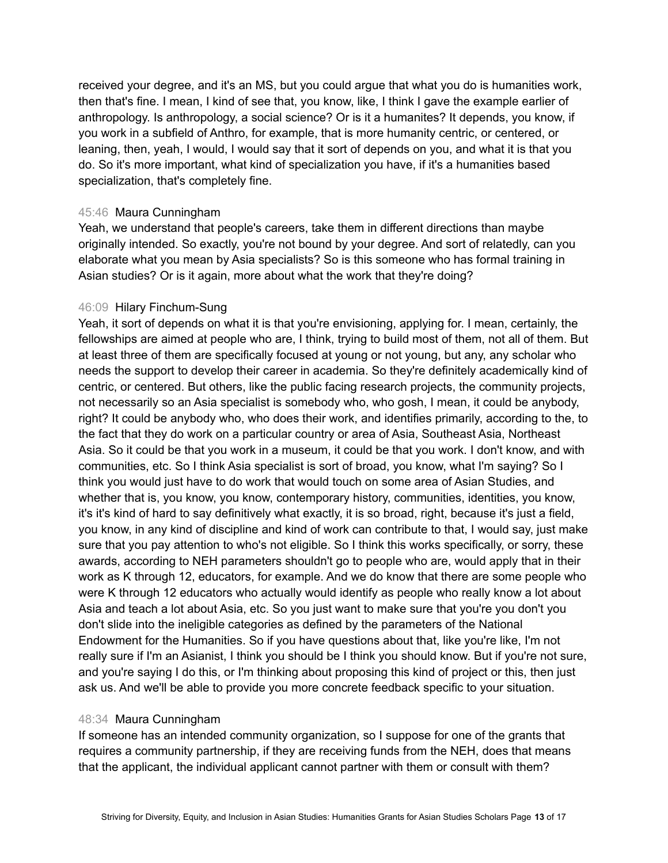received your degree, and it's an MS, but you could argue that what you do is humanities work, then that's fine. I mean, I kind of see that, you know, like, I think I gave the example earlier of anthropology. Is anthropology, a social science? Or is it a humanites? It depends, you know, if you work in a subfield of Anthro, for example, that is more humanity centric, or centered, or leaning, then, yeah, I would, I would say that it sort of depends on you, and what it is that you do. So it's more important, what kind of specialization you have, if it's a humanities based specialization, that's completely fine.

## 45:46 Maura Cunningham

Yeah, we understand that people's careers, take them in different directions than maybe originally intended. So exactly, you're not bound by your degree. And sort of relatedly, can you elaborate what you mean by Asia specialists? So is this someone who has formal training in Asian studies? Or is it again, more about what the work that they're doing?

# 46:09 Hilary Finchum-Sung

Yeah, it sort of depends on what it is that you're envisioning, applying for. I mean, certainly, the fellowships are aimed at people who are, I think, trying to build most of them, not all of them. But at least three of them are specifically focused at young or not young, but any, any scholar who needs the support to develop their career in academia. So they're definitely academically kind of centric, or centered. But others, like the public facing research projects, the community projects, not necessarily so an Asia specialist is somebody who, who gosh, I mean, it could be anybody, right? It could be anybody who, who does their work, and identifies primarily, according to the, to the fact that they do work on a particular country or area of Asia, Southeast Asia, Northeast Asia. So it could be that you work in a museum, it could be that you work. I don't know, and with communities, etc. So I think Asia specialist is sort of broad, you know, what I'm saying? So I think you would just have to do work that would touch on some area of Asian Studies, and whether that is, you know, you know, contemporary history, communities, identities, you know, it's it's kind of hard to say definitively what exactly, it is so broad, right, because it's just a field, you know, in any kind of discipline and kind of work can contribute to that, I would say, just make sure that you pay attention to who's not eligible. So I think this works specifically, or sorry, these awards, according to NEH parameters shouldn't go to people who are, would apply that in their work as K through 12, educators, for example. And we do know that there are some people who were K through 12 educators who actually would identify as people who really know a lot about Asia and teach a lot about Asia, etc. So you just want to make sure that you're you don't you don't slide into the ineligible categories as defined by the parameters of the National Endowment for the Humanities. So if you have questions about that, like you're like, I'm not really sure if I'm an Asianist, I think you should be I think you should know. But if you're not sure, and you're saying I do this, or I'm thinking about proposing this kind of project or this, then just ask us. And we'll be able to provide you more concrete feedback specific to your situation.

# 48:34 Maura Cunningham

If someone has an intended community organization, so I suppose for one of the grants that requires a community partnership, if they are receiving funds from the NEH, does that means that the applicant, the individual applicant cannot partner with them or consult with them?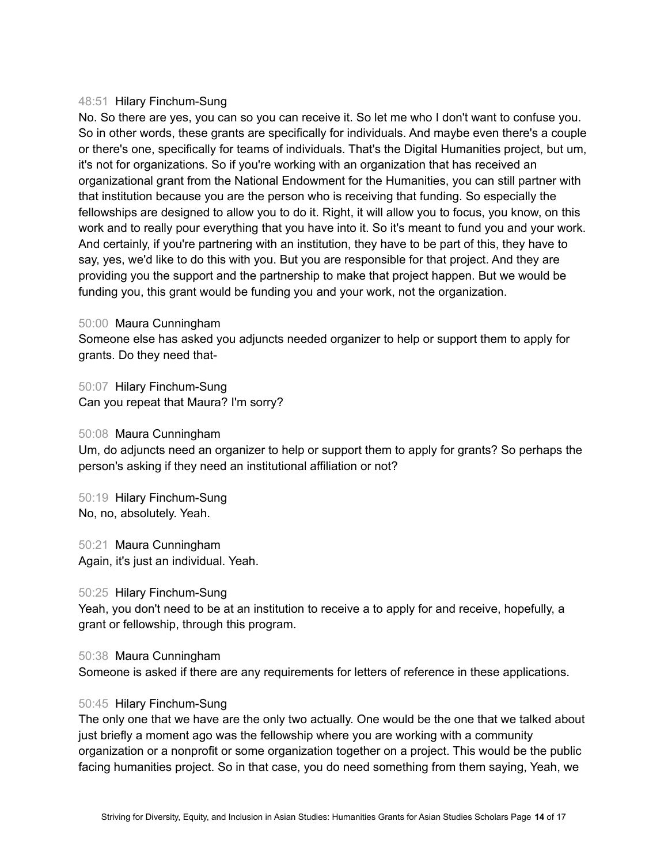## 48:51 Hilary Finchum-Sung

No. So there are yes, you can so you can receive it. So let me who I don't want to confuse you. So in other words, these grants are specifically for individuals. And maybe even there's a couple or there's one, specifically for teams of individuals. That's the Digital Humanities project, but um, it's not for organizations. So if you're working with an organization that has received an organizational grant from the National Endowment for the Humanities, you can still partner with that institution because you are the person who is receiving that funding. So especially the fellowships are designed to allow you to do it. Right, it will allow you to focus, you know, on this work and to really pour everything that you have into it. So it's meant to fund you and your work. And certainly, if you're partnering with an institution, they have to be part of this, they have to say, yes, we'd like to do this with you. But you are responsible for that project. And they are providing you the support and the partnership to make that project happen. But we would be funding you, this grant would be funding you and your work, not the organization.

50:00 Maura Cunningham

Someone else has asked you adjuncts needed organizer to help or support them to apply for grants. Do they need that-

50:07 Hilary Finchum-Sung Can you repeat that Maura? I'm sorry?

50:08 Maura Cunningham

Um, do adjuncts need an organizer to help or support them to apply for grants? So perhaps the person's asking if they need an institutional affiliation or not?

50:19 Hilary Finchum-Sung No, no, absolutely. Yeah.

50:21 Maura Cunningham Again, it's just an individual. Yeah.

### 50:25 Hilary Finchum-Sung

Yeah, you don't need to be at an institution to receive a to apply for and receive, hopefully, a grant or fellowship, through this program.

50:38 Maura Cunningham

Someone is asked if there are any requirements for letters of reference in these applications.

### 50:45 Hilary Finchum-Sung

The only one that we have are the only two actually. One would be the one that we talked about just briefly a moment ago was the fellowship where you are working with a community organization or a nonprofit or some organization together on a project. This would be the public facing humanities project. So in that case, you do need something from them saying, Yeah, we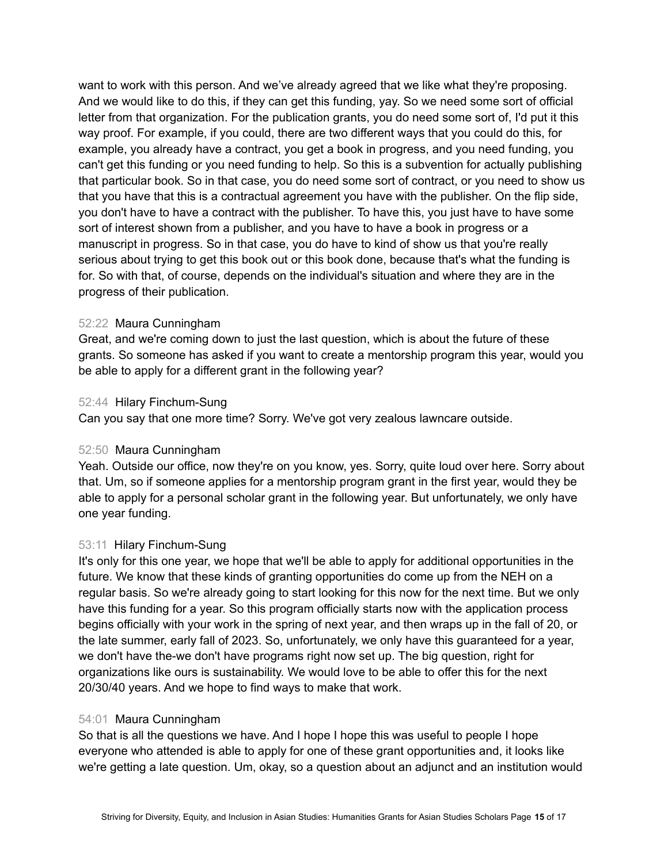want to work with this person. And we've already agreed that we like what they're proposing. And we would like to do this, if they can get this funding, yay. So we need some sort of official letter from that organization. For the publication grants, you do need some sort of, I'd put it this way proof. For example, if you could, there are two different ways that you could do this, for example, you already have a contract, you get a book in progress, and you need funding, you can't get this funding or you need funding to help. So this is a subvention for actually publishing that particular book. So in that case, you do need some sort of contract, or you need to show us that you have that this is a contractual agreement you have with the publisher. On the flip side, you don't have to have a contract with the publisher. To have this, you just have to have some sort of interest shown from a publisher, and you have to have a book in progress or a manuscript in progress. So in that case, you do have to kind of show us that you're really serious about trying to get this book out or this book done, because that's what the funding is for. So with that, of course, depends on the individual's situation and where they are in the progress of their publication.

# 52:22 Maura Cunningham

Great, and we're coming down to just the last question, which is about the future of these grants. So someone has asked if you want to create a mentorship program this year, would you be able to apply for a different grant in the following year?

# 52:44 Hilary Finchum-Sung

Can you say that one more time? Sorry. We've got very zealous lawncare outside.

### 52:50 Maura Cunningham

Yeah. Outside our office, now they're on you know, yes. Sorry, quite loud over here. Sorry about that. Um, so if someone applies for a mentorship program grant in the first year, would they be able to apply for a personal scholar grant in the following year. But unfortunately, we only have one year funding.

# 53:11 Hilary Finchum-Sung

It's only for this one year, we hope that we'll be able to apply for additional opportunities in the future. We know that these kinds of granting opportunities do come up from the NEH on a regular basis. So we're already going to start looking for this now for the next time. But we only have this funding for a year. So this program officially starts now with the application process begins officially with your work in the spring of next year, and then wraps up in the fall of 20, or the late summer, early fall of 2023. So, unfortunately, we only have this guaranteed for a year, we don't have the-we don't have programs right now set up. The big question, right for organizations like ours is sustainability. We would love to be able to offer this for the next 20/30/40 years. And we hope to find ways to make that work.

### 54:01 Maura Cunningham

So that is all the questions we have. And I hope I hope this was useful to people I hope everyone who attended is able to apply for one of these grant opportunities and, it looks like we're getting a late question. Um, okay, so a question about an adjunct and an institution would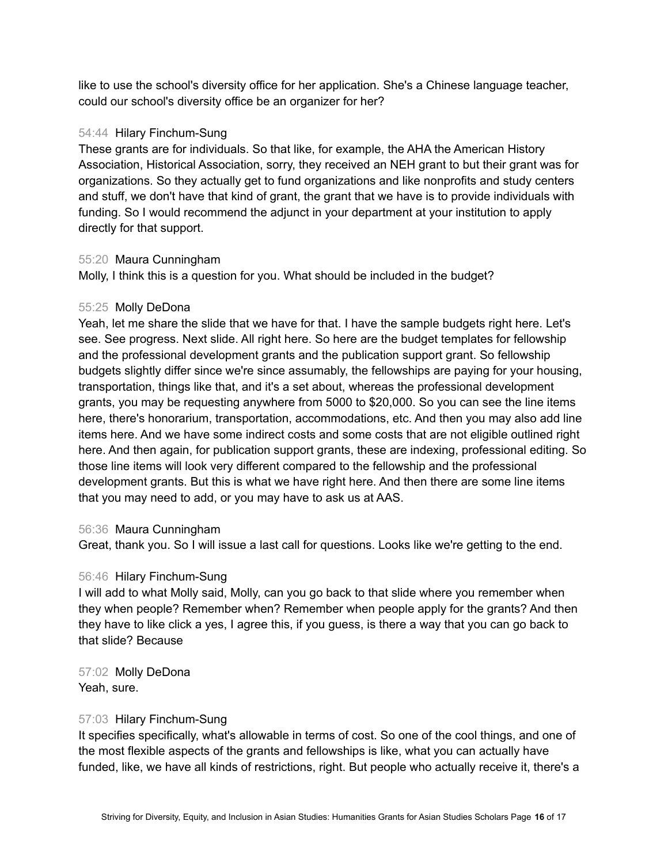like to use the school's diversity office for her application. She's a Chinese language teacher, could our school's diversity office be an organizer for her?

# 54:44 Hilary Finchum-Sung

These grants are for individuals. So that like, for example, the AHA the American History Association, Historical Association, sorry, they received an NEH grant to but their grant was for organizations. So they actually get to fund organizations and like nonprofits and study centers and stuff, we don't have that kind of grant, the grant that we have is to provide individuals with funding. So I would recommend the adjunct in your department at your institution to apply directly for that support.

# 55:20 Maura Cunningham

Molly, I think this is a question for you. What should be included in the budget?

# 55:25 Molly DeDona

Yeah, let me share the slide that we have for that. I have the sample budgets right here. Let's see. See progress. Next slide. All right here. So here are the budget templates for fellowship and the professional development grants and the publication support grant. So fellowship budgets slightly differ since we're since assumably, the fellowships are paying for your housing, transportation, things like that, and it's a set about, whereas the professional development grants, you may be requesting anywhere from 5000 to \$20,000. So you can see the line items here, there's honorarium, transportation, accommodations, etc. And then you may also add line items here. And we have some indirect costs and some costs that are not eligible outlined right here. And then again, for publication support grants, these are indexing, professional editing. So those line items will look very different compared to the fellowship and the professional development grants. But this is what we have right here. And then there are some line items that you may need to add, or you may have to ask us at AAS.

### 56:36 Maura Cunningham

Great, thank you. So I will issue a last call for questions. Looks like we're getting to the end.

# 56:46 Hilary Finchum-Sung

I will add to what Molly said, Molly, can you go back to that slide where you remember when they when people? Remember when? Remember when people apply for the grants? And then they have to like click a yes, I agree this, if you guess, is there a way that you can go back to that slide? Because

57:02 Molly DeDona Yeah, sure.

### 57:03 Hilary Finchum-Sung

It specifies specifically, what's allowable in terms of cost. So one of the cool things, and one of the most flexible aspects of the grants and fellowships is like, what you can actually have funded, like, we have all kinds of restrictions, right. But people who actually receive it, there's a